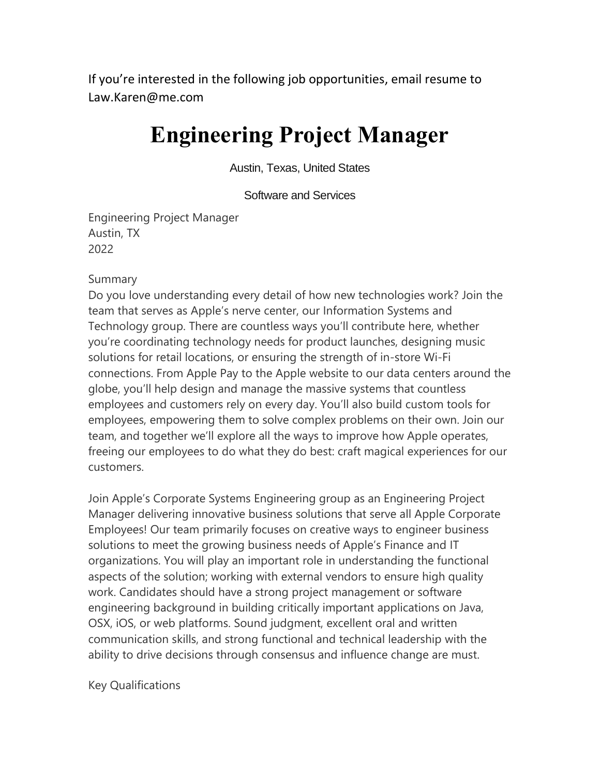If you're interested in the following job opportunities, email resume to Law.Karen@me.com

## **Engineering Project Manager**

Austin, Texas, United States

Software and Services

Engineering Project Manager Austin, TX 2022

#### Summary

Do you love understanding every detail of how new technologies work? Join the team that serves as Apple's nerve center, our Information Systems and Technology group. There are countless ways you'll contribute here, whether you're coordinating technology needs for product launches, designing music solutions for retail locations, or ensuring the strength of in-store Wi-Fi connections. From Apple Pay to the Apple website to our data centers around the globe, you'll help design and manage the massive systems that countless employees and customers rely on every day. You'll also build custom tools for employees, empowering them to solve complex problems on their own. Join our team, and together we'll explore all the ways to improve how Apple operates, freeing our employees to do what they do best: craft magical experiences for our customers.

Join Apple's Corporate Systems Engineering group as an Engineering Project Manager delivering innovative business solutions that serve all Apple Corporate Employees! Our team primarily focuses on creative ways to engineer business solutions to meet the growing business needs of Apple's Finance and IT organizations. You will play an important role in understanding the functional aspects of the solution; working with external vendors to ensure high quality work. Candidates should have a strong project management or software engineering background in building critically important applications on Java, OSX, iOS, or web platforms. Sound judgment, excellent oral and written communication skills, and strong functional and technical leadership with the ability to drive decisions through consensus and influence change are must.

Key Qualifications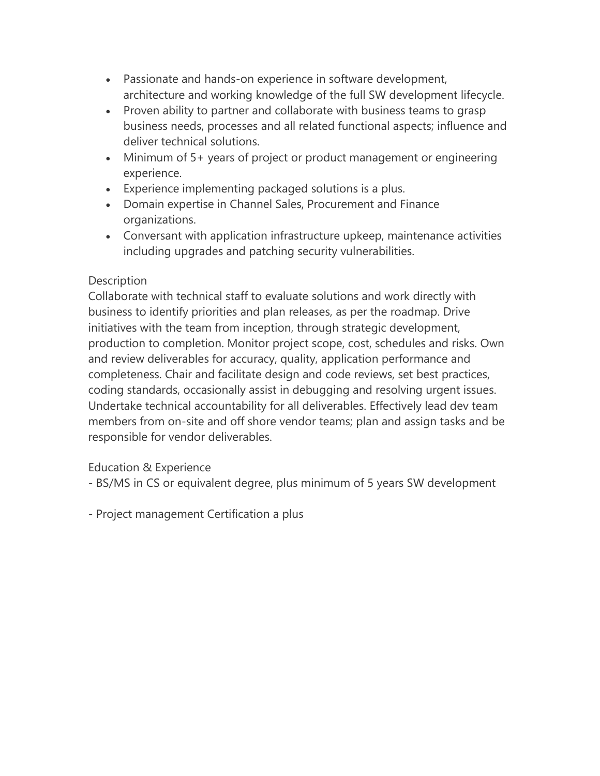- Passionate and hands-on experience in software development, architecture and working knowledge of the full SW development lifecycle.
- Proven ability to partner and collaborate with business teams to grasp business needs, processes and all related functional aspects; influence and deliver technical solutions.
- Minimum of 5+ years of project or product management or engineering experience.
- Experience implementing packaged solutions is a plus.
- Domain expertise in Channel Sales, Procurement and Finance organizations.
- Conversant with application infrastructure upkeep, maintenance activities including upgrades and patching security vulnerabilities.

## **Description**

Collaborate with technical staff to evaluate solutions and work directly with business to identify priorities and plan releases, as per the roadmap. Drive initiatives with the team from inception, through strategic development, production to completion. Monitor project scope, cost, schedules and risks. Own and review deliverables for accuracy, quality, application performance and completeness. Chair and facilitate design and code reviews, set best practices, coding standards, occasionally assist in debugging and resolving urgent issues. Undertake technical accountability for all deliverables. Effectively lead dev team members from on-site and off shore vendor teams; plan and assign tasks and be responsible for vendor deliverables.

## Education & Experience

- BS/MS in CS or equivalent degree, plus minimum of 5 years SW development
- Project management Certification a plus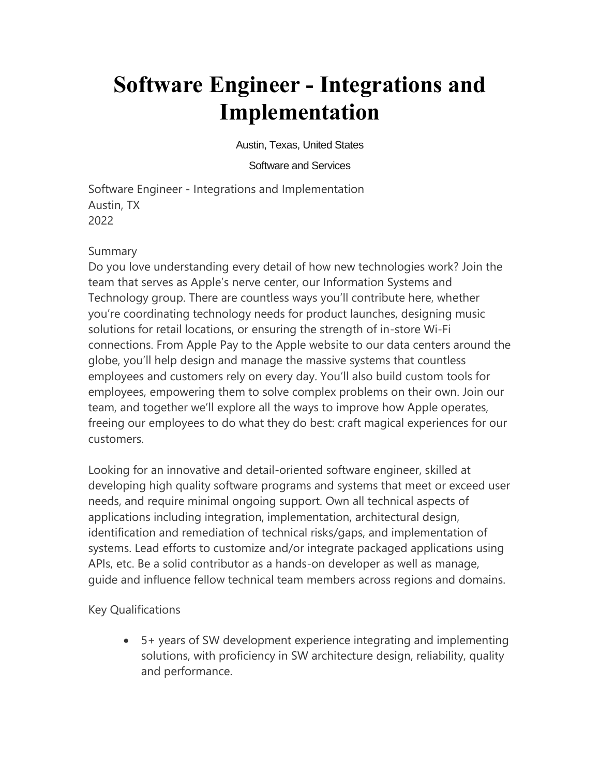# **Software Engineer - Integrations and Implementation**

Austin, Texas, United States

#### Software and Services

Software Engineer - Integrations and Implementation Austin, TX 2022

## Summary

Do you love understanding every detail of how new technologies work? Join the team that serves as Apple's nerve center, our Information Systems and Technology group. There are countless ways you'll contribute here, whether you're coordinating technology needs for product launches, designing music solutions for retail locations, or ensuring the strength of in-store Wi-Fi connections. From Apple Pay to the Apple website to our data centers around the globe, you'll help design and manage the massive systems that countless employees and customers rely on every day. You'll also build custom tools for employees, empowering them to solve complex problems on their own. Join our team, and together we'll explore all the ways to improve how Apple operates, freeing our employees to do what they do best: craft magical experiences for our customers.

Looking for an innovative and detail-oriented software engineer, skilled at developing high quality software programs and systems that meet or exceed user needs, and require minimal ongoing support. Own all technical aspects of applications including integration, implementation, architectural design, identification and remediation of technical risks/gaps, and implementation of systems. Lead efforts to customize and/or integrate packaged applications using APIs, etc. Be a solid contributor as a hands-on developer as well as manage, guide and influence fellow technical team members across regions and domains.

Key Qualifications

• 5+ years of SW development experience integrating and implementing solutions, with proficiency in SW architecture design, reliability, quality and performance.